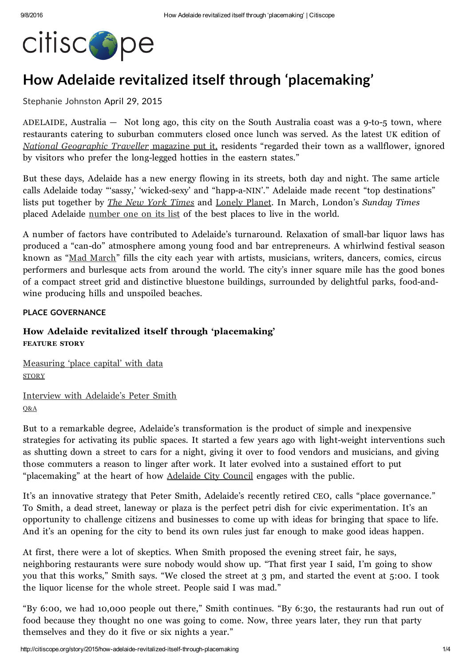

# How Adelaide revitalized itself through 'placemaking'

#### [Stephanie](http://citiscope.org/authors/stephanie-johnston) Johnston April 29, 2015

ADELAIDE, Australia  $-$  Not long ago, this city on the South Australia coast was a 9-to-5 town, where restaurants catering to suburban commuters closed once lunch was served. As the latest UK edition of National [Geographic](http://www.natgeotraveller.co.uk/destinations/australasia/australia/like-a-local-adelaide-3/) Traveller magazine put it, residents "regarded their town as a wallflower, ignored by visitors who prefer the long-legged hotties in the eastern states."

But these days, Adelaide has a new energy flowing in its streets, both day and night. The same article calls Adelaide today "'sassy,' 'wicked-sexy' and "happ-a-NIN'." Adelaide made recent "top destinations" lists put together by *The New York [Times](http://www.adelaidenow.com.au/news/south-australia/adelaide-only-australian-city-to-make-the-new-york-times-list-of-52-places-to-go-in-2015/story-fni6uo1m-1227181561608)* and *[Lonely](http://www.adelaidenow.com.au/travel/australia/adelaide-listed-at-number-nine-on-lonely-planets-2014-top-cities-of-the-world/story-fnjjv0yb-1226748581823) Planet*. In March, London's *Sunday Times* placed Adelaide [number](http://www.thesundaytimes.co.uk/sto/style/homes_and_gardens/best_places/article1533432.ece) one on its list of the best places to live in the world.

A number of factors have contributed to Adelaide's turnaround. Relaxation of small-bar liquor laws has produced a "can-do" atmosphere among young food and bar entrepreneurs. A whirlwind festival season known as "Mad [March](http://www.theguardian.com/commentisfree/2015/mar/13/adelaides-mad-march-when-bogans-and-weirdoes-collide)" fills the city each year with artists, musicians, writers, dancers, comics, circus performers and burlesque acts from around the world. The city's inner square mile has the good bones of a compact street grid and distinctive bluestone buildings, surrounded by delightful parks, foodandwine producing hills and unspoiled beaches.

#### PLACE GOVERNANCE

## How Adelaide revitalized itself through 'placemaking' FEATURE STORY

[Measuring](http://citiscope.org/story/2015/finding-data-measure-place-capital) 'place capital' with data **STORY** 

Interview with [Adelaide's](http://citiscope.org/story/2015/adelaides-peter-smith-place-governance) Peter Smith Q&A

But to a remarkable degree, Adelaide's transformation is the product of simple and inexpensive strategies for activating its public spaces. It started a few years ago with light-weight interventions such as shutting down a street to cars for a night, giving it over to food vendors and musicians, and giving those commuters a reason to linger after work. It later evolved into a sustained effort to put "placemaking" at the heart of how [Adelaide](http://www.adelaidecitycouncil.com/) City Council engages with the public.

It's an innovative strategy that Peter Smith, Adelaide's recently retired CEO, calls "place governance." To Smith, a dead street, laneway or plaza is the perfect petri dish for civic experimentation. It's an opportunity to challenge citizens and businesses to come up with ideas for bringing that space to life. And it's an opening for the city to bend its own rules just far enough to make good ideas happen.

At first, there were a lot of skeptics. When Smith proposed the evening street fair, he says, neighboring restaurants were sure nobody would show up. "That first year I said, I'm going to show you that this works," Smith says. "We closed the street at 3 pm, and started the event at 5:00. I took the liquor license for the whole street. People said I was mad."

"By 6:00, we had 10,000 people out there," Smith continues. "By 6:30, the restaurants had run out of food because they thought no one was going to come. Now, three years later, they run that party themselves and they do it five or six nights a year."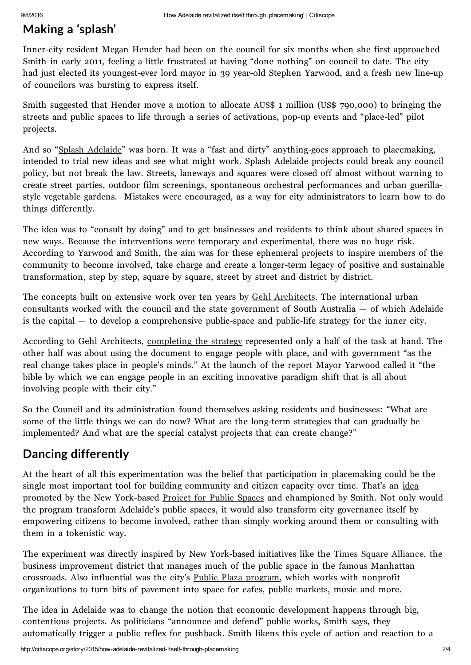# Making a 'splash'

Inner-city resident Megan Hender had been on the council for six months when she first approached Smith in early 2011, feeling a little frustrated at having "done nothing" on council to date. The city had just elected its youngest-ever lord mayor in 39 year-old Stephen Yarwood, and a fresh new line-up of councilors was bursting to express itself.

Smith suggested that Hender move a motion to allocate AUS\$ 1 million (US\$ 790,000) to bringing the streets and public spaces to life through a series of activations, pop-up events and "place-led" pilot projects.

And so "Splash [Adelaide](http://splashadelaide.com.au/)" was born. It was a "fast and dirty" anything-goes approach to placemaking, intended to trial new ideas and see what might work. Splash Adelaide projects could break any council policy, but not break the law. Streets, laneways and squares were closed off almost without warning to create street parties, outdoor film screenings, spontaneous orchestral performances and urban guerillastyle vegetable gardens. Mistakes were encouraged, as a way for city administrators to learn how to do things differently.

The idea was to "consult by doing" and to get businesses and residents to think about shared spaces in new ways. Because the interventions were temporary and experimental, there was no huge risk. According to Yarwood and Smith, the aim was for these ephemeral projects to inspire members of the community to become involved, take charge and create a longer-term legacy of positive and sustainable transformation, step by step, square by square, street by street and district by district.

The concepts built on extensive work over ten years by Gehl [Architects.](http://gehlarchitects.com/) The international urban consultants worked with the council and the state government of South Australia — of which Adelaide is the capital  $-$  to develop a comprehensive public-space and public-life strategy for the inner city.

According to Gehl Architects, [completing](http://www.adelaidecitycouncil.com/assets/ACC_edited_Adelaide_PSPL2011_01Introduction.pdf) the strategy represented only a half of the task at hand. The other half was about using the document to engage people with place, and with government "as the real change takes place in people's minds." At the launch of the [report](http://www.adelaidecitycouncil.com/assets/ACC_edited_Adelaide_PSPL2011_01Introduction.pdf) Mayor Yarwood called it "the bible by which we can engage people in an exciting innovative paradigm shift that is all about involving people with their city."

So the Council and its administration found themselves asking residents and businesses: "What are some of the little things we can do now? What are the long-term strategies that can gradually be implemented? And what are the special catalyst projects that can create change?"

# Dancing differently

At the heart of all this experimentation was the belief that participation in placemaking could be the single most important tool for building community and citizen capacity over time. That's an [idea](http://www.pps.org/reference/toward-place-governance-civic-infrastructure-placemaking/) promoted by the New York-based [Project](http://www.pps.org/) for Public Spaces and championed by Smith. Not only would the program transform Adelaide's public spaces, it would also transform city governance itself by empowering citizens to become involved, rather than simply working around them or consulting with them in a tokenistic way.

The experiment was directly inspired by New York-based initiatives like the Times Square [Alliance,](http://www.timessquarenyc.org/index.aspx) the business improvement district that manages much of the public space in the famous Manhattan crossroads. Also influential was the city's Public Plaza [program,](http://www.nyc.gov/html/dot/html/pedestrians/nyc-plaza-program.shtml) which works with nonprofit organizations to turn bits of pavement into space for cafes, public markets, music and more.

The idea in Adelaide was to change the notion that economic development happens through big, contentious projects. As politicians "announce and defend" public works, Smith says, they automatically trigger a public reflex for pushback. Smith likens this cycle of action and reaction to a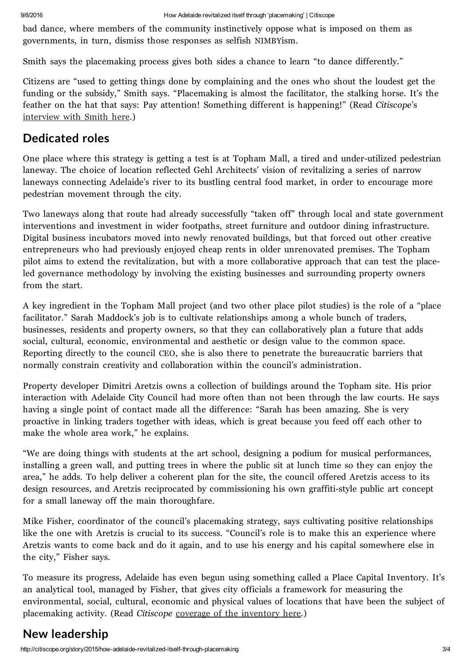bad dance, where members of the community instinctively oppose what is imposed on them as governments, in turn, dismiss those responses as selfish NIMBYism.

Smith says the placemaking process gives both sides a chance to learn "to dance differently."

Citizens are "used to getting things done by complaining and the ones who shout the loudest get the funding or the subsidy," Smith says. "Placemaking is almost the facilitator, the stalking horse. It's the feather on the hat that says: Pay attention! Something different is happening!" (Read Citiscope's [interview](http://citiscope.org/story/2015/adelaides-peter-smith-place-governance) with Smith here.)

# Dedicated roles

One place where this strategy is getting a test is at Topham Mall, a tired and under-utilized pedestrian laneway. The choice of location reflected Gehl Architects' vision of revitalizing a series of narrow laneways connecting Adelaide's river to its bustling central food market, in order to encourage more pedestrian movement through the city.

Two laneways along that route had already successfully "taken off" through local and state government interventions and investment in wider footpaths, street furniture and outdoor dining infrastructure. Digital business incubators moved into newly renovated buildings, but that forced out other creative entrepreneurs who had previously enjoyed cheap rents in older unrenovated premises. The Topham pilot aims to extend the revitalization, but with a more collaborative approach that can test the placeled governance methodology by involving the existing businesses and surrounding property owners from the start.

A key ingredient in the Topham Mall project (and two other place pilot studies) is the role of a "place facilitator." Sarah Maddock's job is to cultivate relationships among a whole bunch of traders, businesses, residents and property owners, so that they can collaboratively plan a future that adds social, cultural, economic, environmental and aesthetic or design value to the common space. Reporting directly to the council CEO, she is also there to penetrate the bureaucratic barriers that normally constrain creativity and collaboration within the council's administration.

Property developer Dimitri Aretzis owns a collection of buildings around the Topham site. His prior interaction with Adelaide City Council had more often than not been through the law courts. He says having a single point of contact made all the difference: "Sarah has been amazing. She is very proactive in linking traders together with ideas, which is great because you feed off each other to make the whole area work," he explains.

"We are doing things with students at the art school, designing a podium for musical performances, installing a green wall, and putting trees in where the public sit at lunch time so they can enjoy the area," he adds. To help deliver a coherent plan for the site, the council offered Aretzis access to its design resources, and Aretzis reciprocated by commissioning his own graffiti-style public art concept for a small laneway off the main thoroughfare.

Mike Fisher, coordinator of the council's placemaking strategy, says cultivating positive relationships like the one with Aretzis is crucial to its success. "Council's role is to make this an experience where Aretzis wants to come back and do it again, and to use his energy and his capital somewhere else in the city," Fisher says.

To measure its progress, Adelaide has even begun using something called a Place Capital Inventory. It's an analytical tool, managed by Fisher, that gives city officials a framework for measuring the environmental, social, cultural, economic and physical values of locations that have been the subject of placemaking activity. (Read Citiscope coverage of the [inventory](http://citiscope.org/story/2015/finding-data-measure-place-capital) here.)

# New leadership